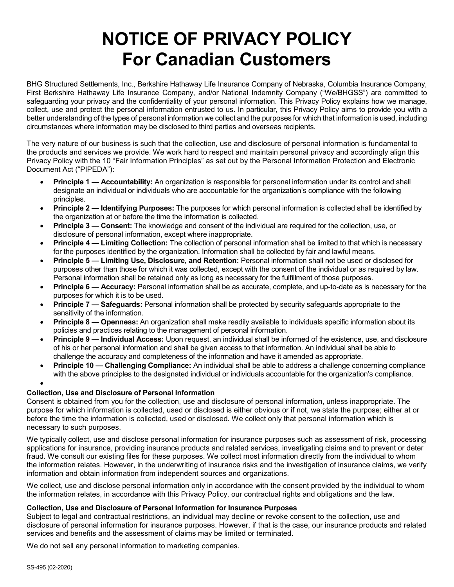# **NOTICE OF PRIVACY POLICY For Canadian Customers**

BHG Structured Settlements, Inc., Berkshire Hathaway Life Insurance Company of Nebraska, Columbia Insurance Company, First Berkshire Hathaway Life Insurance Company, and/or National Indemnity Company ("We/BHGSS") are committed to safeguarding your privacy and the confidentiality of your personal information. This Privacy Policy explains how we manage, collect, use and protect the personal information entrusted to us. In particular, this Privacy Policy aims to provide you with a better understanding of the types of personal information we collect and the purposes for which that information is used, including circumstances where information may be disclosed to third parties and overseas recipients.

The very nature of our business is such that the collection, use and disclosure of personal information is fundamental to the products and services we provide. We work hard to respect and maintain personal privacy and accordingly align this Privacy Policy with the 10 "Fair Information Principles" as set out by the Personal Information Protection and Electronic Document Act ("PIPEDA"):

- **Principle 1 — Accountability:** An organization is responsible for personal information under its control and shall designate an individual or individuals who are accountable for the organization's compliance with the following principles.
- **Principle 2 — Identifying Purposes:** The purposes for which personal information is collected shall be identified by the organization at or before the time the information is collected.
- **Principle 3 — Consent:** The knowledge and consent of the individual are required for the collection, use, or disclosure of personal information, except where inappropriate.
- **Principle 4 — Limiting Collection:** The collection of personal information shall be limited to that which is necessary for the purposes identified by the organization. Information shall be collected by fair and lawful means.
- **Principle 5 — Limiting Use, Disclosure, and Retention:** Personal information shall not be used or disclosed for purposes other than those for which it was collected, except with the consent of the individual or as required by law. Personal information shall be retained only as long as necessary for the fulfillment of those purposes.
- **Principle 6 — Accuracy:** Personal information shall be as accurate, complete, and up-to-date as is necessary for the purposes for which it is to be used.
- **Principle 7 — Safeguards:** Personal information shall be protected by security safeguards appropriate to the sensitivity of the information.
- **Principle 8 — Openness:** An organization shall make readily available to individuals specific information about its policies and practices relating to the management of personal information.
- **Principle 9 — Individual Access:** Upon request, an individual shall be informed of the existence, use, and disclosure of his or her personal information and shall be given access to that information. An individual shall be able to challenge the accuracy and completeness of the information and have it amended as appropriate.
- **Principle 10 — Challenging Compliance:** An individual shall be able to address a challenge concerning compliance with the above principles to the designated individual or individuals accountable for the organization's compliance.

# **Collection, Use and Disclosure of Personal Information**

Consent is obtained from you for the collection, use and disclosure of personal information, unless inappropriate. The purpose for which information is collected, used or disclosed is either obvious or if not, we state the purpose; either at or before the time the information is collected, used or disclosed. We collect only that personal information which is necessary to such purposes.

We typically collect, use and disclose personal information for insurance purposes such as assessment of risk, processing applications for insurance, providing insurance products and related services, investigating claims and to prevent or deter fraud. We consult our existing files for these purposes. We collect most information directly from the individual to whom the information relates. However, in the underwriting of insurance risks and the investigation of insurance claims, we verify information and obtain information from independent sources and organizations.

We collect, use and disclose personal information only in accordance with the consent provided by the individual to whom the information relates, in accordance with this Privacy Policy, our contractual rights and obligations and the law.

# **Collection, Use and Disclosure of Personal Information for Insurance Purposes**

Subject to legal and contractual restrictions, an individual may decline or revoke consent to the collection, use and disclosure of personal information for insurance purposes. However, if that is the case, our insurance products and related services and benefits and the assessment of claims may be limited or terminated.

We do not sell any personal information to marketing companies.

•